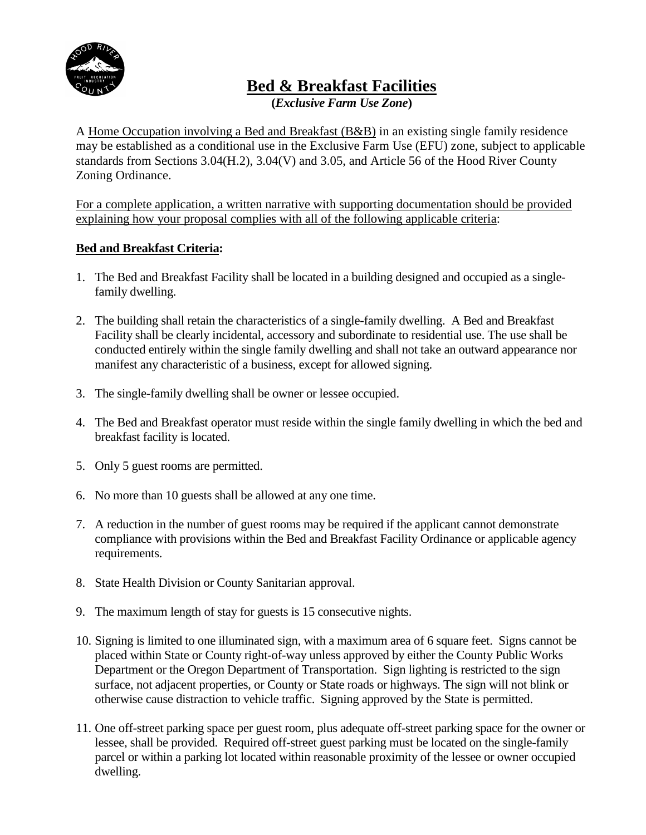

**Bed & Breakfast Facilities**

**(***Exclusive Farm Use Zone***)** 

A Home Occupation involving a Bed and Breakfast (B&B) in an existing single family residence may be established as a conditional use in the Exclusive Farm Use (EFU) zone, subject to applicable standards from Sections 3.04(H.2), 3.04(V) and 3.05, and Article 56 of the Hood River County Zoning Ordinance.

For a complete application, a written narrative with supporting documentation should be provided explaining how your proposal complies with all of the following applicable criteria:

# **Bed and Breakfast Criteria:**

- 1. The Bed and Breakfast Facility shall be located in a building designed and occupied as a singlefamily dwelling.
- 2. The building shall retain the characteristics of a single-family dwelling. A Bed and Breakfast Facility shall be clearly incidental, accessory and subordinate to residential use. The use shall be conducted entirely within the single family dwelling and shall not take an outward appearance nor manifest any characteristic of a business, except for allowed signing.
- 3. The single-family dwelling shall be owner or lessee occupied.
- 4. The Bed and Breakfast operator must reside within the single family dwelling in which the bed and breakfast facility is located.
- 5. Only 5 guest rooms are permitted.
- 6. No more than 10 guests shall be allowed at any one time.
- 7. A reduction in the number of guest rooms may be required if the applicant cannot demonstrate compliance with provisions within the Bed and Breakfast Facility Ordinance or applicable agency requirements.
- 8. State Health Division or County Sanitarian approval.
- 9. The maximum length of stay for guests is 15 consecutive nights.
- 10. Signing is limited to one illuminated sign, with a maximum area of 6 square feet. Signs cannot be placed within State or County right-of-way unless approved by either the County Public Works Department or the Oregon Department of Transportation. Sign lighting is restricted to the sign surface, not adjacent properties, or County or State roads or highways. The sign will not blink or otherwise cause distraction to vehicle traffic. Signing approved by the State is permitted.
- 11. One off-street parking space per guest room, plus adequate off-street parking space for the owner or lessee, shall be provided. Required off-street guest parking must be located on the single-family parcel or within a parking lot located within reasonable proximity of the lessee or owner occupied dwelling.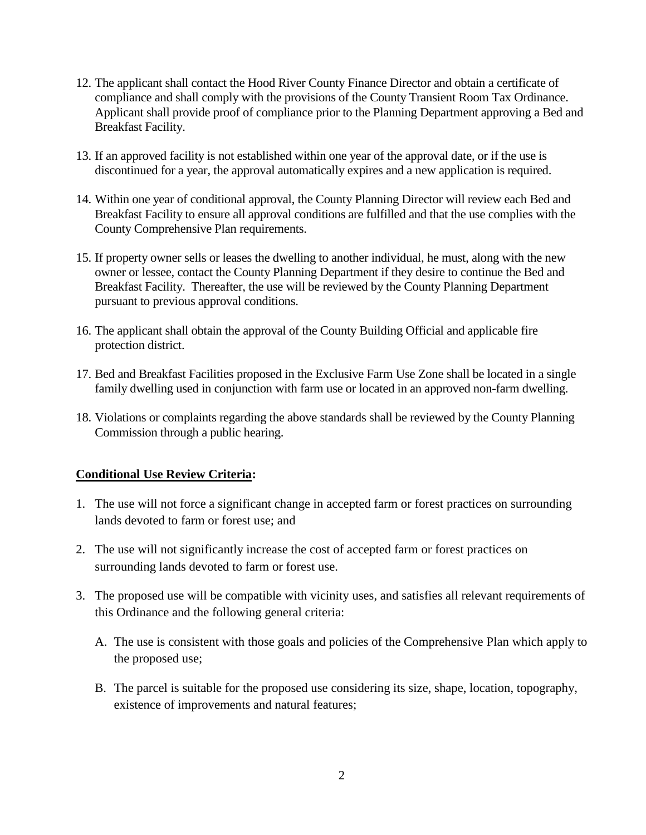- 12. The applicant shall contact the Hood River County Finance Director and obtain a certificate of compliance and shall comply with the provisions of the County Transient Room Tax Ordinance. Applicant shall provide proof of compliance prior to the Planning Department approving a Bed and Breakfast Facility.
- 13. If an approved facility is not established within one year of the approval date, or if the use is discontinued for a year, the approval automatically expires and a new application is required.
- 14. Within one year of conditional approval, the County Planning Director will review each Bed and Breakfast Facility to ensure all approval conditions are fulfilled and that the use complies with the County Comprehensive Plan requirements.
- 15. If property owner sells or leases the dwelling to another individual, he must, along with the new owner or lessee, contact the County Planning Department if they desire to continue the Bed and Breakfast Facility. Thereafter, the use will be reviewed by the County Planning Department pursuant to previous approval conditions.
- 16. The applicant shall obtain the approval of the County Building Official and applicable fire protection district.
- 17. Bed and Breakfast Facilities proposed in the Exclusive Farm Use Zone shall be located in a single family dwelling used in conjunction with farm use or located in an approved non-farm dwelling.
- 18. Violations or complaints regarding the above standards shall be reviewed by the County Planning Commission through a public hearing.

## **Conditional Use Review Criteria:**

- 1. The use will not force a significant change in accepted farm or forest practices on surrounding lands devoted to farm or forest use; and
- 2. The use will not significantly increase the cost of accepted farm or forest practices on surrounding lands devoted to farm or forest use.
- 3. The proposed use will be compatible with vicinity uses, and satisfies all relevant requirements of this Ordinance and the following general criteria:
	- A. The use is consistent with those goals and policies of the Comprehensive Plan which apply to the proposed use;
	- B. The parcel is suitable for the proposed use considering its size, shape, location, topography, existence of improvements and natural features;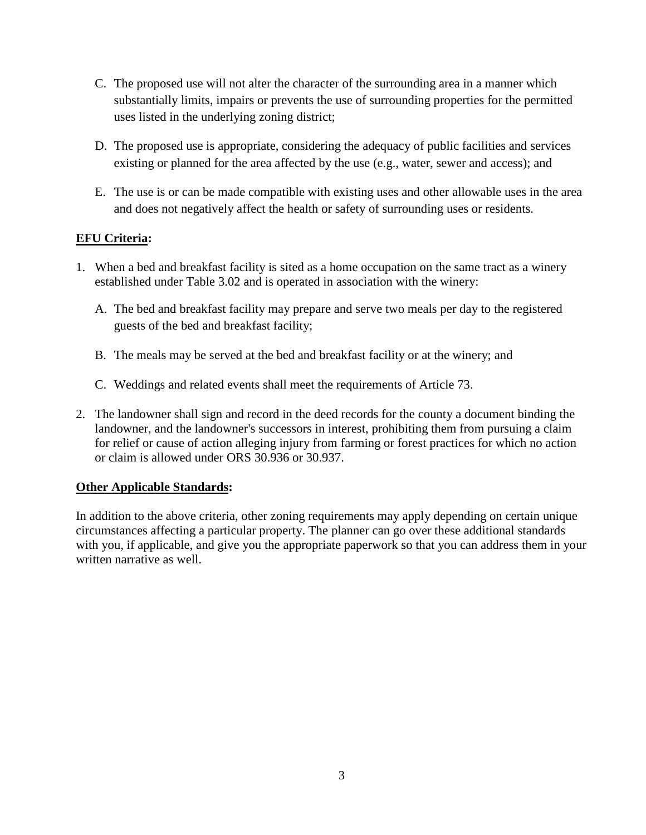- C. The proposed use will not alter the character of the surrounding area in a manner which substantially limits, impairs or prevents the use of surrounding properties for the permitted uses listed in the underlying zoning district;
- D. The proposed use is appropriate, considering the adequacy of public facilities and services existing or planned for the area affected by the use (e.g., water, sewer and access); and
- E. The use is or can be made compatible with existing uses and other allowable uses in the area and does not negatively affect the health or safety of surrounding uses or residents.

# **EFU Criteria:**

- 1. When a bed and breakfast facility is sited as a home occupation on the same tract as a winery established under Table 3.02 and is operated in association with the winery:
	- A. The bed and breakfast facility may prepare and serve two meals per day to the registered guests of the bed and breakfast facility;
	- B. The meals may be served at the bed and breakfast facility or at the winery; and
	- C. Weddings and related events shall meet the requirements of Article 73.
- 2. The landowner shall sign and record in the deed records for the county a document binding the landowner, and the landowner's successors in interest, prohibiting them from pursuing a claim for relief or cause of action alleging injury from farming or forest practices for which no action or claim is allowed under ORS 30.936 or 30.937.

## **Other Applicable Standards:**

In addition to the above criteria, other zoning requirements may apply depending on certain unique circumstances affecting a particular property. The planner can go over these additional standards with you, if applicable, and give you the appropriate paperwork so that you can address them in your written narrative as well.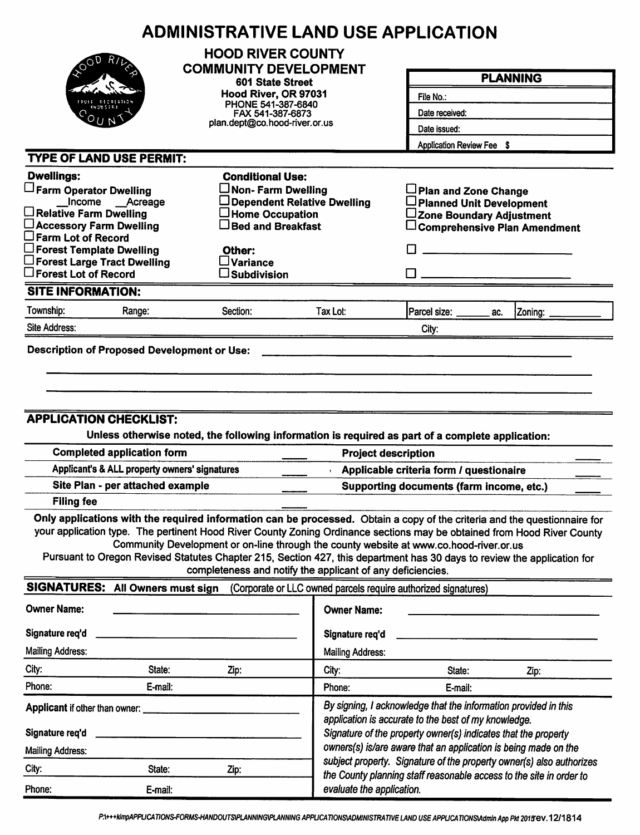|                                                                                                                                                                                                                                                    | <b>ADMINISTRATIVE LAND USE APPLICATION</b>                                                                                                                                                                                                                                                                                                                                                                             |                                                                                                                                                                                           |                                                                      |                                                                                     |  |  |  |
|----------------------------------------------------------------------------------------------------------------------------------------------------------------------------------------------------------------------------------------------------|------------------------------------------------------------------------------------------------------------------------------------------------------------------------------------------------------------------------------------------------------------------------------------------------------------------------------------------------------------------------------------------------------------------------|-------------------------------------------------------------------------------------------------------------------------------------------------------------------------------------------|----------------------------------------------------------------------|-------------------------------------------------------------------------------------|--|--|--|
|                                                                                                                                                                                                                                                    | <b>HOOD RIVER COUNTY</b><br><b>COMMUNITY DEVELOPMENT</b>                                                                                                                                                                                                                                                                                                                                                               |                                                                                                                                                                                           |                                                                      | <b>PLANNING</b>                                                                     |  |  |  |
|                                                                                                                                                                                                                                                    | 601 State Street                                                                                                                                                                                                                                                                                                                                                                                                       |                                                                                                                                                                                           |                                                                      |                                                                                     |  |  |  |
|                                                                                                                                                                                                                                                    | Hood River, OR 97031<br>PHONE 541-387-6840                                                                                                                                                                                                                                                                                                                                                                             |                                                                                                                                                                                           | File No.:                                                            |                                                                                     |  |  |  |
|                                                                                                                                                                                                                                                    | FAX 541-387-6873                                                                                                                                                                                                                                                                                                                                                                                                       |                                                                                                                                                                                           | Date received:                                                       |                                                                                     |  |  |  |
|                                                                                                                                                                                                                                                    |                                                                                                                                                                                                                                                                                                                                                                                                                        | plan.dept@co.hood-river.or.us                                                                                                                                                             |                                                                      | Date issued:<br>Application Review Fee \$                                           |  |  |  |
|                                                                                                                                                                                                                                                    |                                                                                                                                                                                                                                                                                                                                                                                                                        |                                                                                                                                                                                           |                                                                      |                                                                                     |  |  |  |
| <b>TYPE OF LAND USE PERMIT:</b>                                                                                                                                                                                                                    |                                                                                                                                                                                                                                                                                                                                                                                                                        |                                                                                                                                                                                           |                                                                      |                                                                                     |  |  |  |
| <b>Dwellings:</b>                                                                                                                                                                                                                                  | <b>Conditional Use:</b>                                                                                                                                                                                                                                                                                                                                                                                                |                                                                                                                                                                                           |                                                                      |                                                                                     |  |  |  |
| Farm Operator Dwelling<br>Income __Acreage                                                                                                                                                                                                         | $\Box$ Non- Farm Dwelling                                                                                                                                                                                                                                                                                                                                                                                              | Dependent Relative Dwelling                                                                                                                                                               | Plan and Zone Change<br>□ Planned Unit Development                   |                                                                                     |  |  |  |
| $\Box$ Relative Farm Dwelling                                                                                                                                                                                                                      | $\Box$ Home Occupation                                                                                                                                                                                                                                                                                                                                                                                                 |                                                                                                                                                                                           | ∟Zone Boundary Adjustment                                            |                                                                                     |  |  |  |
| □ Accessory Farm Dwelling                                                                                                                                                                                                                          | $\Box$ Bed and Breakfast                                                                                                                                                                                                                                                                                                                                                                                               |                                                                                                                                                                                           |                                                                      | $\Box$ Comprehensive Plan Amendment                                                 |  |  |  |
| $\square$ Farm Lot of Record<br>$\Box$ Forest Template Dwelling                                                                                                                                                                                    | Other:                                                                                                                                                                                                                                                                                                                                                                                                                 |                                                                                                                                                                                           |                                                                      |                                                                                     |  |  |  |
| $\square$ Forest Large Tract Dwelling                                                                                                                                                                                                              | $\square$ Variance                                                                                                                                                                                                                                                                                                                                                                                                     |                                                                                                                                                                                           |                                                                      |                                                                                     |  |  |  |
| $\square$ Forest Lot of Record                                                                                                                                                                                                                     | $\square$ Subdivision                                                                                                                                                                                                                                                                                                                                                                                                  |                                                                                                                                                                                           |                                                                      |                                                                                     |  |  |  |
| <b>SITE INFORMATION:</b>                                                                                                                                                                                                                           |                                                                                                                                                                                                                                                                                                                                                                                                                        |                                                                                                                                                                                           |                                                                      |                                                                                     |  |  |  |
| Township:<br>Range:                                                                                                                                                                                                                                | Section:                                                                                                                                                                                                                                                                                                                                                                                                               | Tax Lot:                                                                                                                                                                                  | Parcel size: ______<br>ac.                                           | Zoning:                                                                             |  |  |  |
| Site Address:                                                                                                                                                                                                                                      |                                                                                                                                                                                                                                                                                                                                                                                                                        |                                                                                                                                                                                           | City:                                                                |                                                                                     |  |  |  |
| <b>Filing fee</b>                                                                                                                                                                                                                                  | <b>APPLICATION CHECKLIST:</b><br>Unless otherwise noted, the following information is required as part of a complete application:<br><b>Completed application form</b><br><b>Project description</b><br>Applicant's & ALL property owners' signatures<br>Site Plan - per attached example<br>Only applications with the required information can be processed. Obtain a copy of the criteria and the questionnaire for |                                                                                                                                                                                           |                                                                      | Applicable criteria form / questionaire<br>Supporting documents (farm income, etc.) |  |  |  |
| your application type. The pertinent Hood River County Zoning Ordinance sections may be obtained from Hood River County<br>Pursuant to Oregon Revised Statutes Chapter 215, Section 427, this department has 30 days to review the application for | Community Development or on-line through the county website at www.co.hood-river.or.us<br>completeness and notify the applicant of any deficiencies.                                                                                                                                                                                                                                                                   |                                                                                                                                                                                           |                                                                      |                                                                                     |  |  |  |
| SIGNATURES: All Owners must sign                                                                                                                                                                                                                   |                                                                                                                                                                                                                                                                                                                                                                                                                        |                                                                                                                                                                                           | (Corporate or LLC owned parcels require authorized signatures)       |                                                                                     |  |  |  |
| <b>Owner Name:</b>                                                                                                                                                                                                                                 |                                                                                                                                                                                                                                                                                                                                                                                                                        | <b>Owner Name:</b>                                                                                                                                                                        |                                                                      |                                                                                     |  |  |  |
| Signature req'd                                                                                                                                                                                                                                    |                                                                                                                                                                                                                                                                                                                                                                                                                        | Signature req'd                                                                                                                                                                           |                                                                      |                                                                                     |  |  |  |
| <b>Mailing Address:</b>                                                                                                                                                                                                                            |                                                                                                                                                                                                                                                                                                                                                                                                                        | <b>Mailing Address:</b>                                                                                                                                                                   |                                                                      |                                                                                     |  |  |  |
| City:<br>State:                                                                                                                                                                                                                                    | Zip:                                                                                                                                                                                                                                                                                                                                                                                                                   | City:                                                                                                                                                                                     | State:                                                               | Zip:                                                                                |  |  |  |
| Phone:<br>E-mail:                                                                                                                                                                                                                                  |                                                                                                                                                                                                                                                                                                                                                                                                                        | Phone:                                                                                                                                                                                    | E-mail:                                                              |                                                                                     |  |  |  |
| Applicant if other than owner:<br>Signature req'd                                                                                                                                                                                                  |                                                                                                                                                                                                                                                                                                                                                                                                                        | By signing, I acknowledge that the information provided in this<br>application is accurate to the best of my knowledge.<br>Signature of the property owner(s) indicates that the property |                                                                      |                                                                                     |  |  |  |
| <b>Mailing Address:</b>                                                                                                                                                                                                                            |                                                                                                                                                                                                                                                                                                                                                                                                                        |                                                                                                                                                                                           | owners(s) is/are aware that an application is being made on the      |                                                                                     |  |  |  |
| City:<br>State:                                                                                                                                                                                                                                    | Zip:                                                                                                                                                                                                                                                                                                                                                                                                                   |                                                                                                                                                                                           | subject property. Signature of the property owner(s) also authorizes |                                                                                     |  |  |  |
| Phone:<br>E-mail:                                                                                                                                                                                                                                  |                                                                                                                                                                                                                                                                                                                                                                                                                        | evaluate the application.                                                                                                                                                                 | the County planning staff reasonable access to the site in order to  |                                                                                     |  |  |  |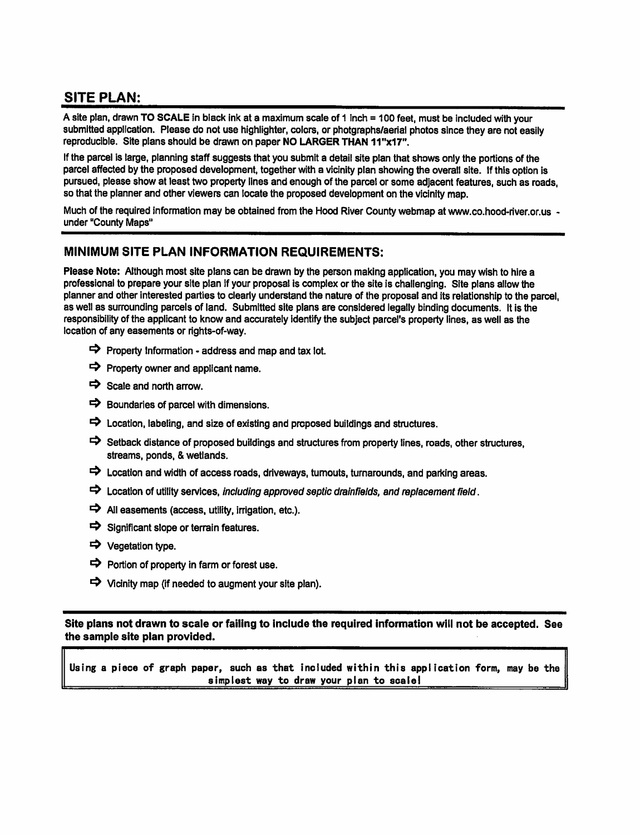# **SITE PLAN:**

A site plan, drawn TO SCALE in black ink at a maximum scale of 1 inch = 100 feet, must be included with your submitted application. Please do not use highlighter, colors, or photgraphs/aerial photos since they are not easily reproducible. Site plans should be drawn on paper NO LARGER THAN 11"x17".

If the parcel is large, planning staff suggests that you submit a detail site plan that shows only the portions of the parcel affected by the proposed development, together with a vicinity plan showing the overall site. If this option is pursued, please show at least two property lines and enough of the parcel or some adjacent features, such as roads, so that the planner and other viewers can locate the proposed development on the vicinity map.

Much of the required information may be obtained from the Hood River County webmap at www.co.hood-river.or.us under "County Maps"

#### MINIMUM SITE PLAN INFORMATION REQUIREMENTS:

Please Note: Although most site plans can be drawn by the person making application, you may wish to hire a professional to prepare your site plan if your proposal is complex or the site is challenging. Site plans allow the planner and other interested parties to clearly understand the nature of the proposal and its relationship to the parcel. as well as surrounding parcels of land. Submitted site plans are considered legally binding documents. It is the responsibility of the applicant to know and accurately identify the subject parcel's property lines, as well as the location of any easements or rights-of-way.

- $\Rightarrow$  Property Information address and map and tax lot.
- $\Rightarrow$  Property owner and applicant name.
- $\Rightarrow$  Scale and north arrow.
- $\Rightarrow$  Boundaries of parcel with dimensions.
- $\Rightarrow$  Location, labeling, and size of existing and proposed buildings and structures.
- $\Rightarrow$  Setback distance of proposed buildings and structures from property lines, roads, other structures, streams, ponds, & wetlands.
- $\Rightarrow$  Location and width of access roads, driveways, turnouts, turnarounds, and parking areas.
- $\Rightarrow$  Location of utility services, including approved septic drainfields, and replacement field.
- $\Rightarrow$  All easements (access, utility, irrigation, etc.).
- $\Rightarrow$  Significant slope or terrain features.
- → Vegetation type.
- $\Rightarrow$  Portion of property in farm or forest use.
- $\Rightarrow$  Vicinity map (if needed to augment your site plan).

Site plans not drawn to scale or failing to include the required information will not be accepted. See the sample site plan provided.

Using a piece of graph paper, such as that included within this application form, may be the simplest way to draw your plan to scale!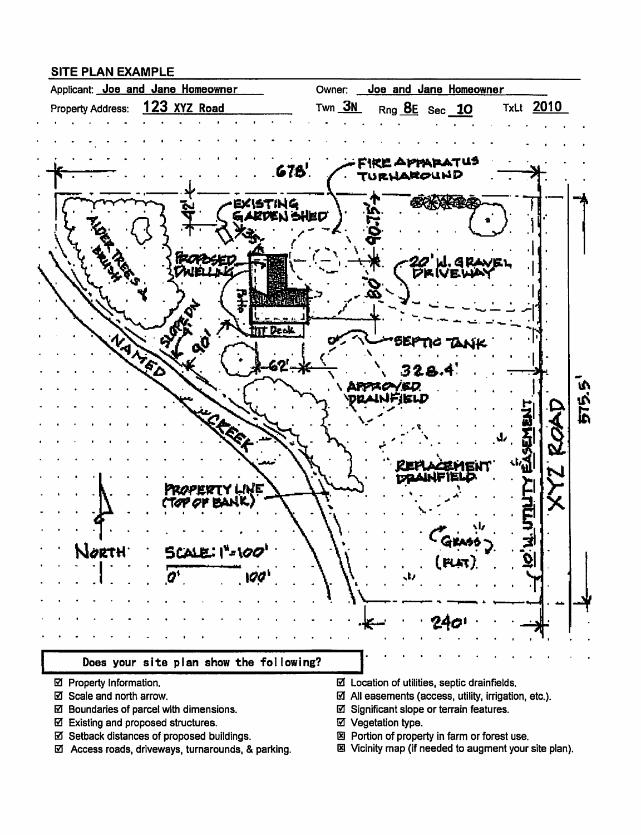### **SITE PLAN EXAMPLE**



- ☑ Property Information.
- ☑ Scale and north arrow.
- ☑ Boundaries of parcel with dimensions.
- ☑ Existing and proposed structures.
- ☑ Setback distances of proposed buildings.
- ☑ Access roads, driveways, turnarounds, & parking.
- $\boxtimes$  Location of utilities, septic drainfields.
- $\boxtimes$  All easements (access, utility, irrigation, etc.).
- ☑ Significant slope or terrain features.
- ☑ Vegetation type.
- 図 Portion of property in farm or forest use.
- 图 Vicinity map (if needed to augment your site plan).